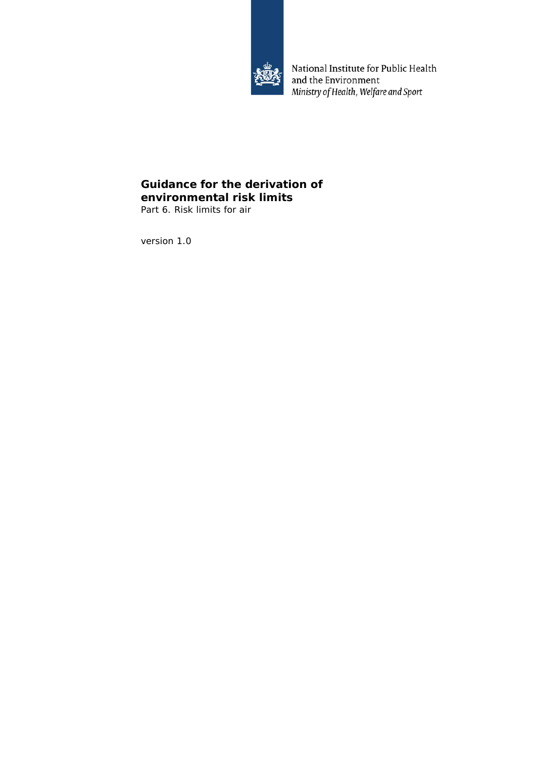

National Institute for Public Health and the Environment Ministry of Health, Welfare and Sport

# **Guidance for the derivation of environmental risk limits**

Part 6. Risk limits for air

version 1.0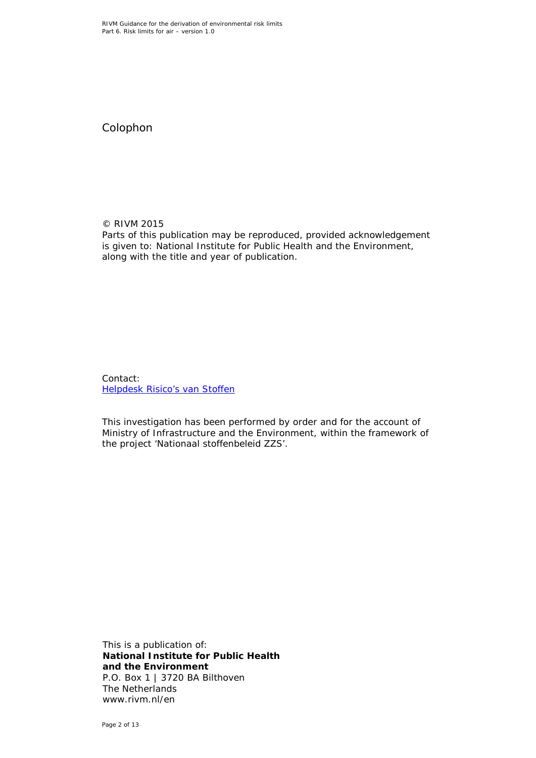Colophon

© RIVM 2015 Parts of this publication may be reproduced, provided acknowledgement is given to: National Institute for Public Health and the Environment, along with the title and year of publication.

Contact: [Helpdesk Risico's van Stoffen](https://rvs.rivm.nl/helpdesk/helpdesk-risicos-van-stoffen)

This investigation has been performed by order and for the account of Ministry of Infrastructure and the Environment, within the framework of the project 'Nationaal stoffenbeleid ZZS'.

This is a publication of: **National Institute for Public Health and the Environment** P.O. Box 1 | 3720 BA Bilthoven The Netherlands www.rivm.nl/en

Page 2 of 13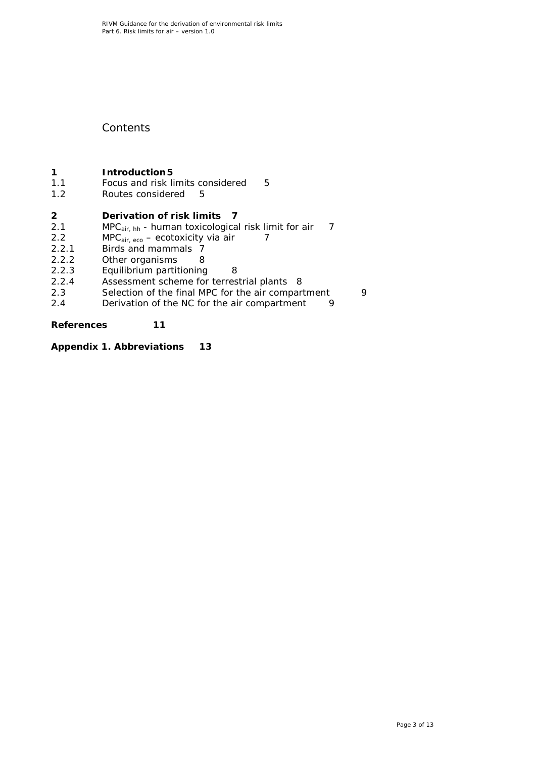#### **Contents**

# **1 [Introduction5](#page-4-0)**<br>**1.1 Focus and risk li**

- 1.1 [Focus and risk limits considered](#page-4-1) 5<br>1.2 Routes considered 5
- [Routes considered](#page-4-2)

- **2 [Derivation of risk limits](#page-6-0) 7**<br>2.1 MPC<sub>air bb</sub> human toxicologica 2.1 MPC<sub>air, hh</sub> - [human toxicological risk limit for air](#page-6-1) 7<br>2.2 MPC<sub>air eco</sub> – ecotoxicity via air 7
- 
- 2.2 MPC $_{air, eco}$  [ecotoxicity via air](#page-6-2) 2.2.1 Birds and mammals 7 2.2.1 [Birds and mammals](#page-6-3) 7<br>2.2.2 Other organisms 8
- 
- 2.2.2 [Other organisms](#page-7-0) 8<br>2.2.3 Equilibrium partitioning
- 2.2.3 [Equilibrium partitioning](#page-7-1) 8<br>2.2.4 Assessment scheme for terres
- 2.2.4 [Assessment scheme for terrestrial plants](#page-7-2) 8<br>2.3 Selection of the final MPC for the air compar [Selection of the final MPC for the air compartment](#page-8-0) 9
- 2.4 [Derivation of the NC for the air compartment](#page-8-1) 9

#### **[References](#page-10-0) 11**

**[Appendix 1. Abbreviations](#page-12-0) 13**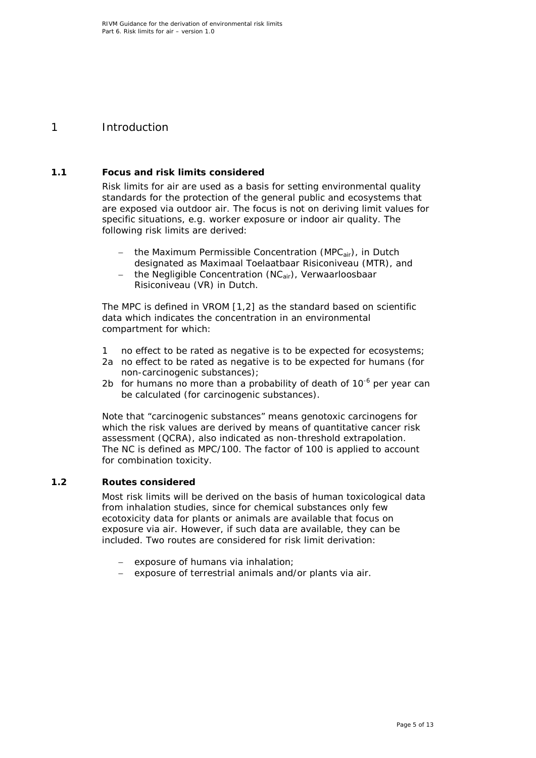#### <span id="page-4-0"></span>1 Introduction

#### **1.1 Focus and risk limits considered**

<span id="page-4-1"></span>Risk limits for air are used as a basis for setting environmental quality standards for the protection of the general public and ecosystems that are exposed via outdoor air. The focus is not on deriving limit values for specific situations, e.g. worker exposure or indoor air quality. The following risk limits are derived:

- the Maximum Permissible Concentration (MPC<sub>air</sub>), in Dutch designated as *Maximaal Toelaatbaar Risiconiveau (MTR)*, and
- − the Negligible Concentration (NCair), *Verwaarloosbaar Risiconiveau (VR)* in Dutch.

The MPC is defined in VROM [\[1,](#page-10-1)[2\]](#page-10-2) as the standard based on scientific data which indicates the concentration in an environmental compartment for which:

- 1 no effect to be rated as negative is to be expected for ecosystems;
- 2a no effect to be rated as negative is to be expected for humans (for non-carcinogenic substances);
- 2b for humans no more than a probability of death of  $10^{-6}$  per year can be calculated (for carcinogenic substances).

Note that "carcinogenic substances" means genotoxic carcinogens for which the risk values are derived by means of quantitative cancer risk assessment (QCRA), also indicated as non-threshold extrapolation. The NC is defined as MPC/100. The factor of 100 is applied to account for combination toxicity.

#### **1.2 Routes considered**

<span id="page-4-2"></span>Most risk limits will be derived on the basis of human toxicological data from inhalation studies, since for chemical substances only few ecotoxicity data for plants or animals are available that focus on exposure via air. However, if such data are available, they can be included. Two routes are considered for risk limit derivation:

- exposure of humans via inhalation;
- exposure of terrestrial animals and/or plants via air.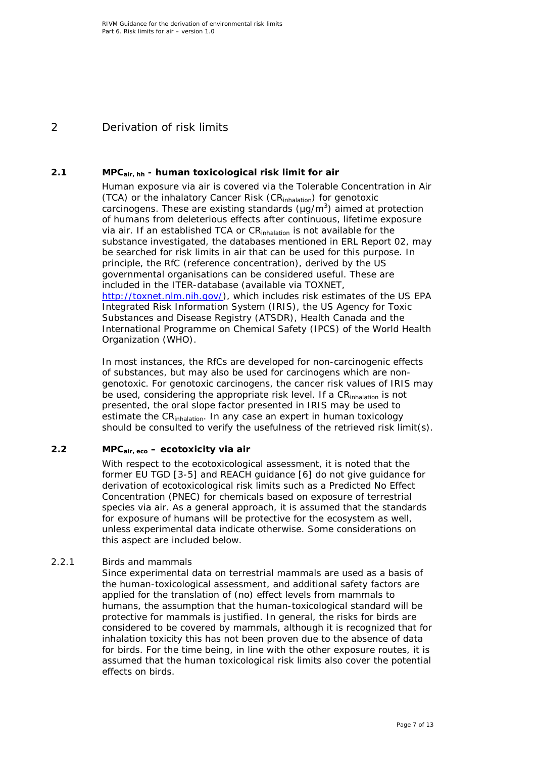### <span id="page-6-0"></span>2 Derivation of risk limits

#### **2.1 MPCair, hh - human toxicological risk limit for air**

<span id="page-6-1"></span>Human exposure via air is covered via the Tolerable Concentration in Air (TCA) or the inhalatory Cancer Risk (CR<sub>inhalation</sub>) for genotoxic carcinogens. These are existing standards ( $\mu$ g/m<sup>3</sup>) aimed at protection of humans from deleterious effects after continuous, lifetime exposure via air. If an established TCA or CR<sub>inhalation</sub> is not available for the substance investigated, the databases mentioned in ERL Report 02, may be searched for risk limits in air that can be used for this purpose. In principle, the RfC (reference concentration), derived by the US governmental organisations can be considered useful. These are included in the ITER-database (available via TOXNET, [http://toxnet.nlm.nih.gov/\)](http://toxnet.nlm.nih.gov/), which includes risk estimates of the US EPA Integrated Risk Information System (IRIS), the US Agency for Toxic Substances and Disease Registry (ATSDR), Health Canada and the International Programme on Chemical Safety (IPCS) of the World Health Organization (WHO).

In most instances, the RfCs are developed for non-carcinogenic effects of substances, but may also be used for carcinogens which are nongenotoxic. For genotoxic carcinogens, the cancer risk values of IRIS may be used, considering the appropriate risk level. If a CR<sub>inhalation</sub> is not presented, the oral slope factor presented in IRIS may be used to estimate the CR<sub>inhalation</sub>. In any case an expert in human toxicology should be consulted to verify the usefulness of the retrieved risk limit(s).

#### **2.2 MPCair, eco – ecotoxicity via air**

<span id="page-6-2"></span>With respect to the ecotoxicological assessment, it is noted that the former EU TGD [\[3-5\]](#page-10-3) and REACH guidance [\[6\]](#page-10-4) do not give guidance for derivation of ecotoxicological risk limits such as a Predicted No Effect Concentration (PNEC) for chemicals based on exposure of terrestrial species via air. As a general approach, it is assumed that the standards for exposure of humans will be protective for the ecosystem as well, unless experimental data indicate otherwise. Some considerations on this aspect are included below.

#### *2.2.1 Birds and mammals*

<span id="page-6-3"></span>Since experimental data on terrestrial mammals are used as a basis of the human-toxicological assessment, and additional safety factors are applied for the translation of (no) effect levels from mammals to humans, the assumption that the human-toxicological standard will be protective for mammals is justified. In general, the risks for birds are considered to be covered by mammals, although it is recognized that for inhalation toxicity this has not been proven due to the absence of data for birds. For the time being, in line with the other exposure routes, it is assumed that the human toxicological risk limits also cover the potential effects on birds.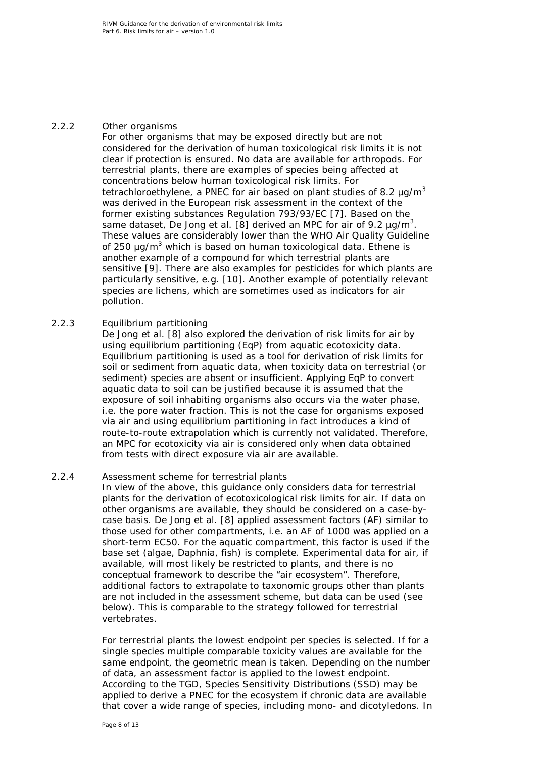#### *2.2.2 Other organisms*

<span id="page-7-0"></span>For other organisms that may be exposed directly but are not considered for the derivation of human toxicological risk limits it is not clear if protection is ensured. No data are available for arthropods. For terrestrial plants, there are examples of species being affected at concentrations below human toxicological risk limits. For tetrachloroethylene, a PNEC for air based on plant studies of 8.2  $\mu$ g/m<sup>3</sup> was derived in the European risk assessment in the context of the former existing substances Regulation 793/93/EC [\[7\]](#page-10-5). Based on the same dataset, De Jong et al. [\[8\]](#page-10-6) derived an MPC for air of 9.2  $\mu$ g/m $^3$ . These values are considerably lower than the WHO Air Quality Guideline of 250  $\mu$ g/m<sup>3</sup> which is based on human toxicological data. Ethene is another example of a compound for which terrestrial plants are sensitive [\[9\]](#page-10-7). There are also examples for pesticides for which plants are particularly sensitive, e.g. [\[10\]](#page-10-8). Another example of potentially relevant species are lichens, which are sometimes used as indicators for air pollution.

#### *2.2.3 Equilibrium partitioning*

<span id="page-7-1"></span>De Jong et al. [\[8\]](#page-10-6) also explored the derivation of risk limits for air by using equilibrium partitioning (EqP) from aquatic ecotoxicity data. Equilibrium partitioning is used as a tool for derivation of risk limits for soil or sediment from aquatic data, when toxicity data on terrestrial (or sediment) species are absent or insufficient. Applying EqP to convert aquatic data to soil can be justified because it is assumed that the exposure of soil inhabiting organisms also occurs via the water phase, i.e. the pore water fraction. This is not the case for organisms exposed via air and using equilibrium partitioning in fact introduces a kind of route-to-route extrapolation which is currently not validated. Therefore, an MPC for ecotoxicity via air is considered only when data obtained from tests with direct exposure via air are available.

#### *2.2.4 Assessment scheme for terrestrial plants*

<span id="page-7-2"></span>In view of the above, this guidance only considers data for terrestrial plants for the derivation of ecotoxicological risk limits for air. If data on other organisms are available, they should be considered on a case-bycase basis. De Jong et al. [\[8\]](#page-10-6) applied assessment factors (AF) similar to those used for other compartments, i.e. an AF of 1000 was applied on a short-term EC50. For the aquatic compartment, this factor is used if the base set (algae, *Daphnia*, fish) is complete. Experimental data for air, if available, will most likely be restricted to plants, and there is no conceptual framework to describe the "air ecosystem". Therefore, additional factors to extrapolate to taxonomic groups other than plants are not included in the assessment scheme, but data can be used (see below). This is comparable to the strategy followed for terrestrial vertebrates.

For terrestrial plants the lowest endpoint per species is selected. If for a single species multiple comparable toxicity values are available for the same endpoint, the geometric mean is taken. Depending on the number of data, an assessment factor is applied to the lowest endpoint. According to the TGD, Species Sensitivity Distributions (SSD) may be applied to derive a PNEC for the ecosystem if chronic data are available that cover a wide range of species, including mono- and dicotyledons. In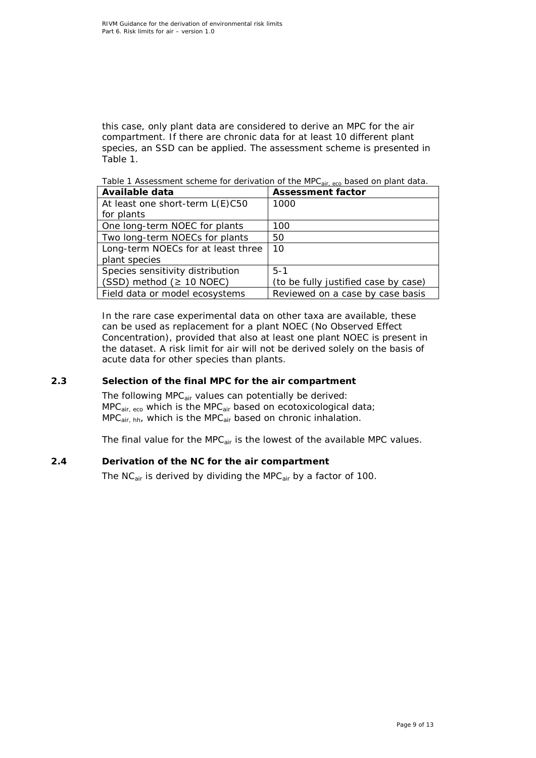this case, only plant data are considered to derive an MPC for the air compartment. If there are chronic data for at least 10 different plant species, an SSD can be applied. The assessment scheme is presented in Table 1.

*Table 1 Assessment scheme for derivation of the MPCair, eco based on plant data.*

| Available data                     | <b>Assessment factor</b>             |
|------------------------------------|--------------------------------------|
| At least one short-term L(E)C50    | 1000                                 |
| for plants                         |                                      |
| One long-term NOEC for plants      | 100                                  |
| Two long-term NOECs for plants     | 50                                   |
| Long-term NOECs for at least three | 10                                   |
| plant species                      |                                      |
| Species sensitivity distribution   | $5 - 1$                              |
| (SSD) method ( $\geq$ 10 NOEC)     | (to be fully justified case by case) |
| Field data or model ecosystems     | Reviewed on a case by case basis     |

In the rare case experimental data on other taxa are available, these can be used as replacement for a plant NOEC (No Observed Effect Concentration), provided that also at least one plant NOEC is present in the dataset. A risk limit for air will not be derived solely on the basis of acute data for other species than plants.

#### **2.3 Selection of the final MPC for the air compartment**

<span id="page-8-0"></span>The following MPC<sub>air</sub> values can potentially be derived:  $MPC_{air, eco}$  which is the MPC $_{air}$  based on ecotoxicological data;  $MPC<sub>air, hh</sub>$ , which is the MPC<sub>air</sub> based on chronic inhalation.

The final value for the MPC $_{air}$  is the lowest of the available MPC values.

#### **2.4 Derivation of the NC for the air compartment**

<span id="page-8-1"></span>The NC<sub>air</sub> is derived by dividing the MPC<sub>air</sub> by a factor of 100.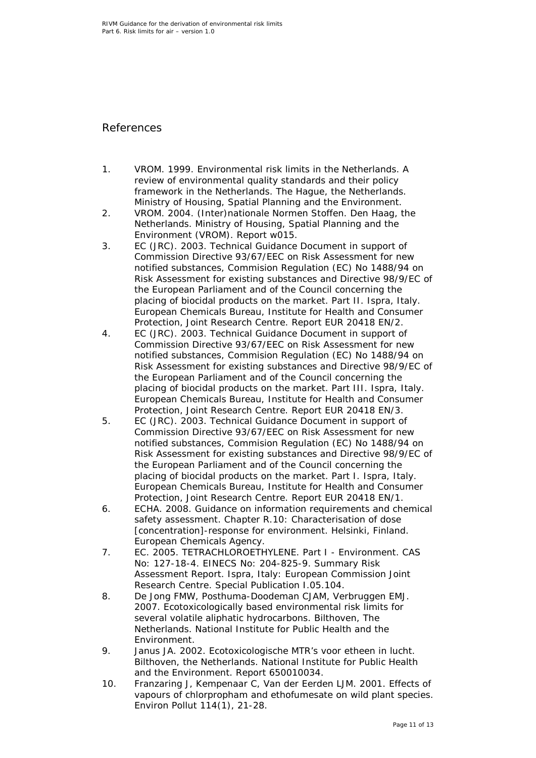#### <span id="page-10-0"></span>References

- <span id="page-10-1"></span>1. VROM. 1999. Environmental risk limits in the Netherlands. A review of environmental quality standards and their policy framework in the Netherlands. The Hague, the Netherlands. Ministry of Housing, Spatial Planning and the Environment.
- <span id="page-10-2"></span>2. VROM. 2004. (Inter)nationale Normen Stoffen. Den Haag, the Netherlands. Ministry of Housing, Spatial Planning and the Environment (VROM). Report w015.
- <span id="page-10-3"></span>3. EC (JRC). 2003. Technical Guidance Document in support of Commission Directive 93/67/EEC on Risk Assessment for new notified substances, Commision Regulation (EC) No 1488/94 on Risk Assessment for existing substances and Directive 98/9/EC of the European Parliament and of the Council concerning the placing of biocidal products on the market. Part II. Ispra, Italy. European Chemicals Bureau, Institute for Health and Consumer Protection, Joint Research Centre. Report EUR 20418 EN/2.
- 4. EC (JRC). 2003. Technical Guidance Document in support of Commission Directive 93/67/EEC on Risk Assessment for new notified substances, Commision Regulation (EC) No 1488/94 on Risk Assessment for existing substances and Directive 98/9/EC of the European Parliament and of the Council concerning the placing of biocidal products on the market. Part III. Ispra, Italy. European Chemicals Bureau, Institute for Health and Consumer Protection, Joint Research Centre. Report EUR 20418 EN/3.
- 5. EC (JRC). 2003. Technical Guidance Document in support of Commission Directive 93/67/EEC on Risk Assessment for new notified substances, Commision Regulation (EC) No 1488/94 on Risk Assessment for existing substances and Directive 98/9/EC of the European Parliament and of the Council concerning the placing of biocidal products on the market. Part I. Ispra, Italy. European Chemicals Bureau, Institute for Health and Consumer Protection, Joint Research Centre. Report EUR 20418 EN/1.
- <span id="page-10-4"></span>6. ECHA. 2008. Guidance on information requirements and chemical safety assessment. Chapter R.10: Characterisation of dose [concentration]-response for environment. Helsinki, Finland. European Chemicals Agency.
- <span id="page-10-5"></span>7. EC. 2005. TETRACHLOROETHYLENE. Part I - Environment. CAS No: 127-18-4. EINECS No: 204-825-9. Summary Risk Assessment Report. Ispra, Italy: European Commission Joint Research Centre. Special Publication I.05.104.
- <span id="page-10-6"></span>8. De Jong FMW, Posthuma-Doodeman CJAM, Verbruggen EMJ. 2007. Ecotoxicologically based environmental risk limits for several volatile aliphatic hydrocarbons. Bilthoven, The Netherlands. National Institute for Public Health and the Environment.
- <span id="page-10-7"></span>9. Janus JA. 2002. Ecotoxicologische MTR's voor etheen in lucht. Bilthoven, the Netherlands. National Institute for Public Health and the Environment. Report 650010034.
- <span id="page-10-8"></span>10. Franzaring J, Kempenaar C, Van der Eerden LJM. 2001. Effects of vapours of chlorpropham and ethofumesate on wild plant species. Environ Pollut 114(1), 21-28.